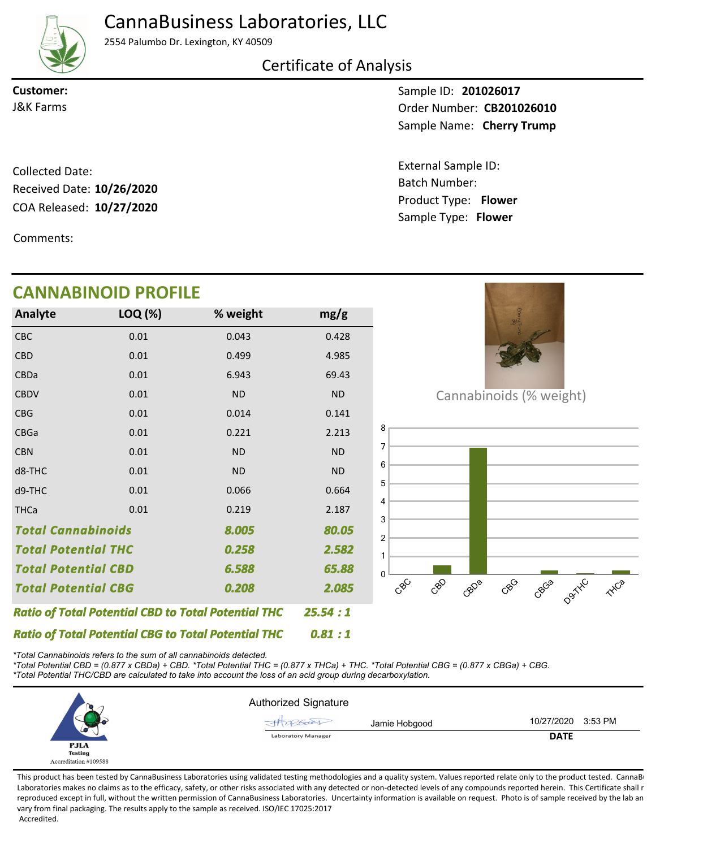# CannaBusiness Laboratories, LLC



2554 Palumbo Dr. Lexington, KY 40509

### Certificate of Analysis

**Customer:**

Sample ID: **201026017** Sample Name: Cherry Trump **J&K Farms CB201026010** 

> Product Type: **Flower 10/27/2020** Batch Number: External Sample ID: Sample Type: **Flower**

COA Released: 10/27/2020 Collected Date: Received Date: **10/26/2020**

Comments:

# **CANNABINOID PROFILE**

| <b>Analyte</b>                                             | LOQ (%)  | % weight  | mg/g      |
|------------------------------------------------------------|----------|-----------|-----------|
| <b>CBC</b>                                                 | 0.01     | 0.043     | 0.428     |
| <b>CBD</b>                                                 | 0.01     | 0.499     | 4.985     |
| <b>CBDa</b>                                                | 0.01     | 6.943     | 69.43     |
| <b>CBDV</b>                                                | 0.01     | <b>ND</b> | <b>ND</b> |
| <b>CBG</b>                                                 | 0.01     | 0.014     | 0.141     |
| <b>CBGa</b>                                                | 0.01     | 0.221     | 2.213     |
| <b>CBN</b>                                                 | 0.01     | <b>ND</b> | <b>ND</b> |
| d8-THC                                                     | 0.01     | <b>ND</b> | <b>ND</b> |
| d9-THC                                                     | 0.01     | 0.066     | 0.664     |
| <b>THCa</b>                                                | 0.01     | 0.219     | 2.187     |
| <b>Total Cannabinoids</b><br>8.005                         |          |           | 80.05     |
| <b>Total Potential THC</b><br>0.258                        |          |           | 2.582     |
| <b>Total Potential CBD</b><br>6.588                        |          |           | 65.88     |
| <b>Total Potential CBG</b><br>0.208                        |          |           | 2.085     |
| <b>Ratio of Total Potential CBD to Total Potential THC</b> | 25.54:1  |           |           |
| <b>Ratio of Total Potential CBG to Total Potential THC</b> | 0.81 : 1 |           |           |



Cannabinoids (% weight)



*\*Total Cannabinoids refers to the sum of all cannabinoids detected.*

*\*Total Potential CBD = (0.877 x CBDa) + CBD. \*Total Potential THC = (0.877 x THCa) + THC. \*Total Potential CBG = (0.877 x CBGa) + CBG. \*Total Potential THC/CBD are calculated to take into account the loss of an acid group during decarboxylation.*



This product has been tested by CannaBusiness Laboratories using validated testing methodologies and a quality system. Values reported relate only to the product tested. CannaBi Laboratories makes no claims as to the efficacy, safety, or other risks associated with any detected or non-detected levels of any compounds reported herein. This Certificate shall r reproduced except in full, without the written permission of CannaBusiness Laboratories. Uncertainty information is available on request. Photo is of sample received by the lab an vary from final packaging. The results apply to the sample as received. ISO/IEC 17025:2017 Accredited.